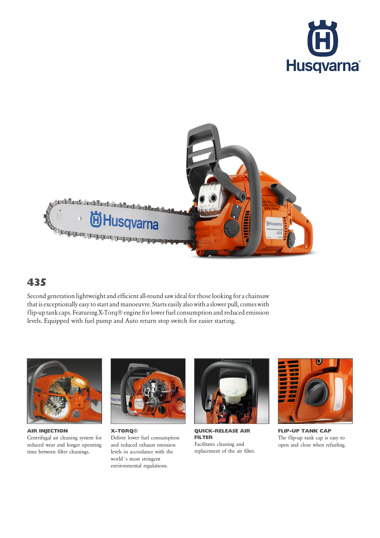



## 435

Second generation lightweight and efficient all-round saw ideal for those looking for a chainsaw that is exceptionally easy to start and manoeuvre. Starts easily also with a slower pull, comes with flip-uptank caps. Featuring X-Torq® engine for lower fuel consumption and reduced emission levels. Equipped with fuel pump and Auto return stop switch for easier starting.



AIR INJECTION Centrifugal air cleaning system for reduced wear and longer operating time between filter cleanings.



X-TORQ® Deliver lower fuel consumption and reduced exhaust emission levels in accordance with the world´s most stringent environmental regulations.



QUICK-RELEASE AIR FILTER Facilitates cleaning and replacement of the air filter.



FLIP-UP TANK CAP The flip-up tank cap is easy to open and close when refueling.